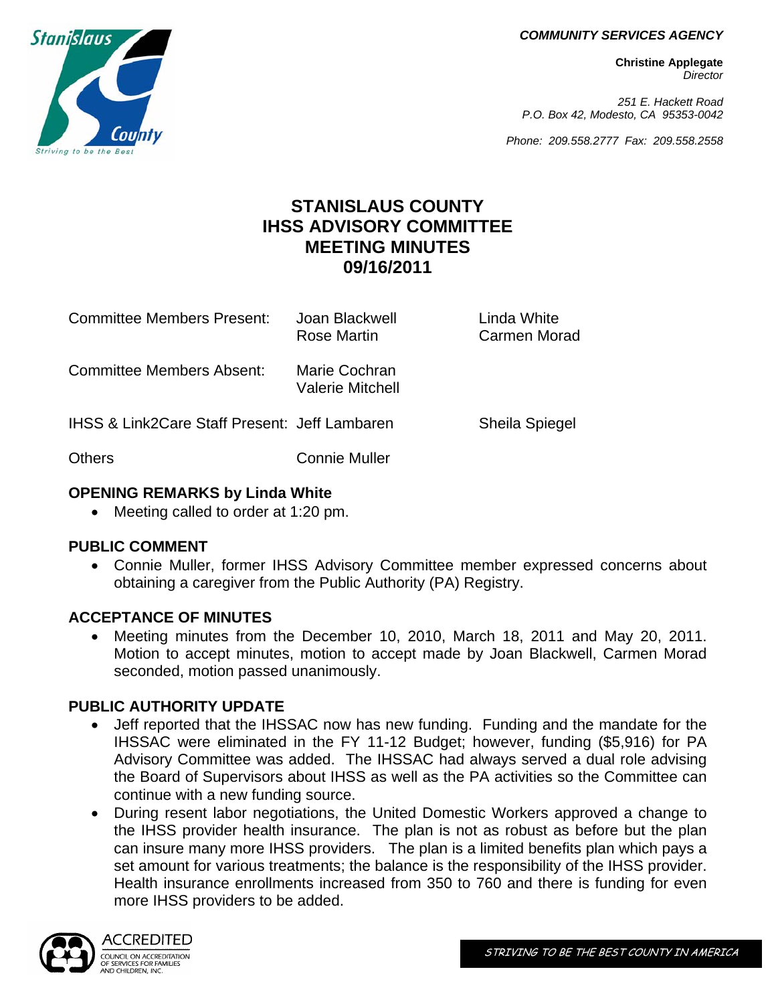*COMMUNITY SERVICES AGENCY*

**Christine Applegate** *Director*

*251 E. Hackett Road P.O. Box 42, Modesto, CA 95353-0042*

*Phone: 209.558.2777 Fax: 209.558.2558*

# **STANISLAUS COUNTY IHSS ADVISORY COMMITTEE MEETING MINUTES 09/16/2011**

| <b>Committee Members Present:</b>                        | Joan Blackwell<br>Rose Martin     | Linda White<br>Carmen Morad |
|----------------------------------------------------------|-----------------------------------|-----------------------------|
| Committee Members Absent:                                | Marie Cochran<br>Valerie Mitchell |                             |
| <b>IHSS &amp; Link2Care Staff Present: Jeff Lambaren</b> |                                   | <b>Sheila Spiegel</b>       |
| <b>Others</b>                                            | <b>Connie Muller</b>              |                             |

#### **OPENING REMARKS by Linda White**

• Meeting called to order at 1:20 pm.

### **PUBLIC COMMENT**

 Connie Muller, former IHSS Advisory Committee member expressed concerns about obtaining a caregiver from the Public Authority (PA) Registry.

### **ACCEPTANCE OF MINUTES**

 Meeting minutes from the December 10, 2010, March 18, 2011 and May 20, 2011. Motion to accept minutes, motion to accept made by Joan Blackwell, Carmen Morad seconded, motion passed unanimously.

### **PUBLIC AUTHORITY UPDATE**

- Jeff reported that the IHSSAC now has new funding. Funding and the mandate for the IHSSAC were eliminated in the FY 11-12 Budget; however, funding (\$5,916) for PA Advisory Committee was added. The IHSSAC had always served a dual role advising the Board of Supervisors about IHSS as well as the PA activities so the Committee can continue with a new funding source.
- During resent labor negotiations, the United Domestic Workers approved a change to the IHSS provider health insurance. The plan is not as robust as before but the plan can insure many more IHSS providers. The plan is a limited benefits plan which pays a set amount for various treatments; the balance is the responsibility of the IHSS provider. Health insurance enrollments increased from 350 to 760 and there is funding for even more IHSS providers to be added.



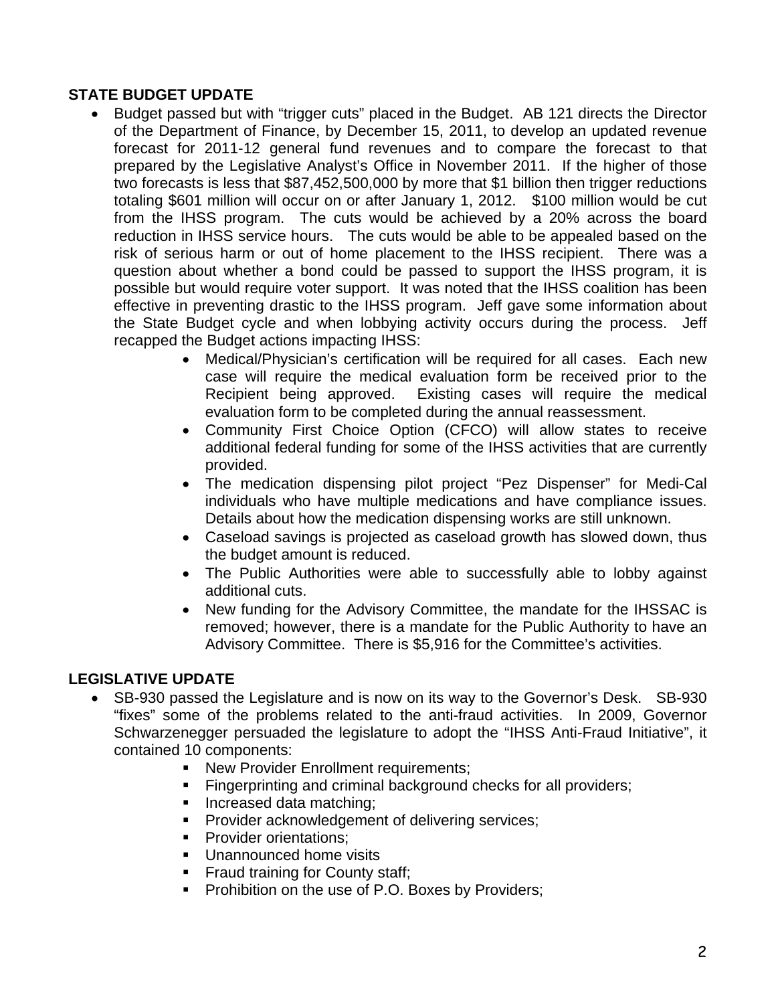### **STATE BUDGET UPDATE**

- Budget passed but with "trigger cuts" placed in the Budget. AB 121 directs the Director of the Department of Finance, by December 15, 2011, to develop an updated revenue forecast for 2011-12 general fund revenues and to compare the forecast to that prepared by the Legislative Analyst's Office in November 2011. If the higher of those two forecasts is less that \$87,452,500,000 by more that \$1 billion then trigger reductions totaling \$601 million will occur on or after January 1, 2012. \$100 million would be cut from the IHSS program. The cuts would be achieved by a 20% across the board reduction in IHSS service hours. The cuts would be able to be appealed based on the risk of serious harm or out of home placement to the IHSS recipient. There was a question about whether a bond could be passed to support the IHSS program, it is possible but would require voter support. It was noted that the IHSS coalition has been effective in preventing drastic to the IHSS program. Jeff gave some information about the State Budget cycle and when lobbying activity occurs during the process. Jeff recapped the Budget actions impacting IHSS:
	- Medical/Physician's certification will be required for all cases. Each new case will require the medical evaluation form be received prior to the Recipient being approved. Existing cases will require the medical evaluation form to be completed during the annual reassessment.
	- Community First Choice Option (CFCO) will allow states to receive additional federal funding for some of the IHSS activities that are currently provided.
	- The medication dispensing pilot project "Pez Dispenser" for Medi-Cal individuals who have multiple medications and have compliance issues. Details about how the medication dispensing works are still unknown.
	- Caseload savings is projected as caseload growth has slowed down, thus the budget amount is reduced.
	- The Public Authorities were able to successfully able to lobby against additional cuts.
	- New funding for the Advisory Committee, the mandate for the IHSSAC is removed; however, there is a mandate for the Public Authority to have an Advisory Committee. There is \$5,916 for the Committee's activities.

## **LEGISLATIVE UPDATE**

- SB-930 passed the Legislature and is now on its way to the Governor's Desk. SB-930 "fixes" some of the problems related to the anti-fraud activities. In 2009, Governor Schwarzenegger persuaded the legislature to adopt the "IHSS Anti-Fraud Initiative", it contained 10 components:
	- New Provider Enrollment requirements;
	- **Fingerprinting and criminal background checks for all providers;**
	- **Increased data matching:**
	- **Provider acknowledgement of delivering services;**
	- **Provider orientations;**
	- **Unannounced home visits**
	- **Fraud training for County staff;**
	- **Prohibition on the use of P.O. Boxes by Providers;**